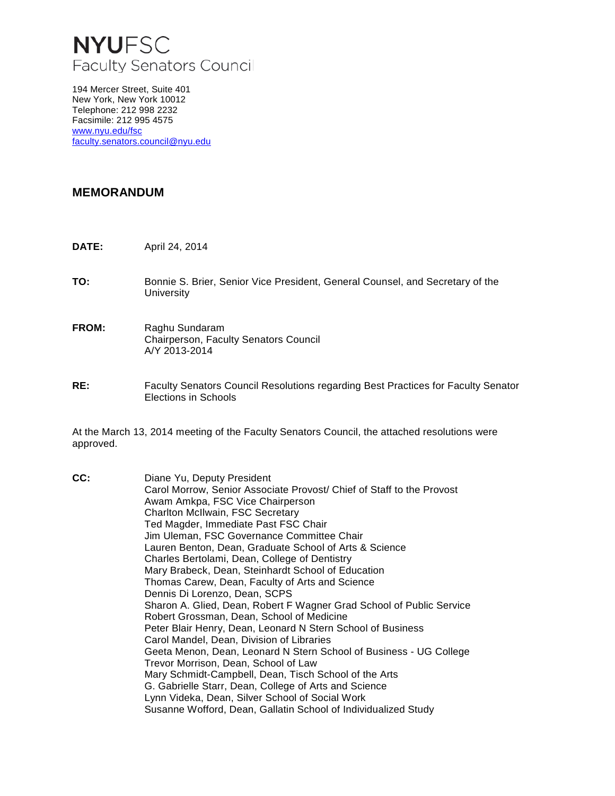# **NYUFSC** Faculty Senators Council

194 Mercer Street, Suite 401 New York, New York 10012 Telephone: 212 998 2232 Facsimile: 212 995 4575 [www.nyu.edu/fsc](http://www.nyu.edu/fsc) [faculty.senators.council@nyu.edu](mailto:faculty.senators.council@nyu.edu)

### **MEMORANDUM**

- **DATE:** April 24, 2014
- **TO:** Bonnie S. Brier, Senior Vice President, General Counsel, and Secretary of the **University**
- **FROM:** Raghu Sundaram Chairperson, Faculty Senators Council A/Y 2013-2014
- **RE:** Faculty Senators Council Resolutions regarding Best Practices for Faculty Senator Elections in Schools

At the March 13, 2014 meeting of the Faculty Senators Council, the attached resolutions were approved.

**CC:** Diane Yu, Deputy President Carol Morrow, Senior Associate Provost/ Chief of Staff to the Provost Awam Amkpa, FSC Vice Chairperson Charlton McIlwain, FSC Secretary Ted Magder, Immediate Past FSC Chair Jim Uleman, FSC Governance Committee Chair Lauren Benton, Dean, Graduate School of Arts & Science Charles Bertolami, Dean, College of Dentistry Mary Brabeck, Dean, Steinhardt School of Education Thomas Carew, Dean, Faculty of Arts and Science Dennis Di Lorenzo, Dean, SCPS Sharon A. Glied, Dean, Robert F Wagner Grad School of Public Service Robert Grossman, Dean, School of Medicine Peter Blair Henry, Dean, Leonard N Stern School of Business Carol Mandel, Dean, Division of Libraries Geeta Menon, Dean, Leonard N Stern School of Business - UG College Trevor Morrison, Dean, School of Law Mary Schmidt-Campbell, Dean, Tisch School of the Arts G. Gabrielle Starr, Dean, College of Arts and Science Lynn Videka, Dean, Silver School of Social Work Susanne Wofford, Dean, Gallatin School of Individualized Study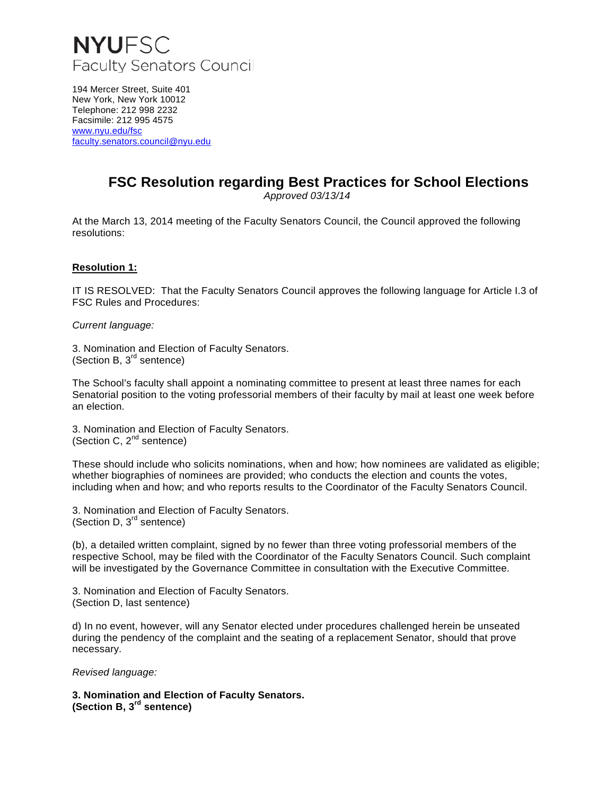

194 Mercer Street, Suite 401 New York, New York 10012 Telephone: 212 998 2232 Facsimile: 212 995 4575 [www.nyu.edu/fsc](http://www.nyu.edu/fsc) [faculty.senators.council@nyu.edu](mailto:faculty.senators.council@nyu.edu)

### **FSC Resolution regarding Best Practices for School Elections**

*Approved 03/13/14*

At the March 13, 2014 meeting of the Faculty Senators Council, the Council approved the following resolutions:

#### **Resolution 1:**

IT IS RESOLVED: That the Faculty Senators Council approves the following language for Article I.3 of FSC Rules and Procedures:

*Current language:*

3. Nomination and Election of Faculty Senators. (Section B,  $3<sup>rd</sup>$  sentence)

The School's faculty shall appoint a nominating committee to present at least three names for each Senatorial position to the voting professorial members of their faculty by mail at least one week before an election.

3. Nomination and Election of Faculty Senators. (Section C,  $2^{nd}$  sentence)

These should include who solicits nominations, when and how; how nominees are validated as eligible; whether biographies of nominees are provided; who conducts the election and counts the votes, including when and how; and who reports results to the Coordinator of the Faculty Senators Council.

3. Nomination and Election of Faculty Senators. (Section D,  $3<sup>rd</sup>$  sentence)

(b), a detailed written complaint, signed by no fewer than three voting professorial members of the respective School, may be filed with the Coordinator of the Faculty Senators Council. Such complaint will be investigated by the Governance Committee in consultation with the Executive Committee.

3. Nomination and Election of Faculty Senators. (Section D, last sentence)

d) In no event, however, will any Senator elected under procedures challenged herein be unseated during the pendency of the complaint and the seating of a replacement Senator, should that prove necessary.

*Revised language:*

**3. Nomination and Election of Faculty Senators. (Section B, 3rd sentence)**